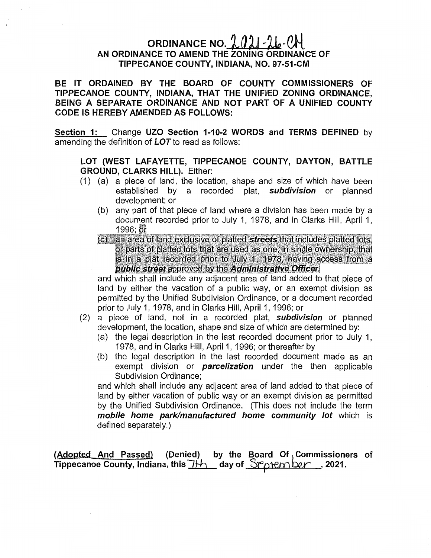## ORDINANCE NO.  $2021 - 26 - 04$ AN ORDINANCE TO AMEND THE ZONING **ORDINANCE** OF **TIPPECANOE COUNTY, INDIANA,** NO. **97-51-CM**

BE IT ORDAINED BY THE BOARD OF **COUNTY** COMMISSIONERS OF **TIPPECANOE COUNTY, INDIANA,** THAT THE UNIFIED ZONING **ORDINANCE,**  BEING A SEPARATE **ORDINANCE** AND NOT PART OF A UNIFIED **COUNTY**  CODE IS HEREBY AMENDED AS FOLLOWS:

**Section** 1: Change UZO **Section 1-10-2** WORDS and TERMS DEFINED by amending the definition of **LOT** to read as follows:

## LOT **(WEST LAFAYETTE, TIPPECANOE COUNTY, DAYTON, BATTLE GROUND,** CLARKS HILL). Either:

- (1) (a) *a* piece of land, the **location,** shape and **size** of which have been **established** by a recorded **plat,** *subdivision* or planned development; or
	- (b) any **part** of **that** piece of land where a division has been made by <sup>a</sup> document recorded prior to July 1, 1978, and in Clarks Hill, April 1,  $1996;$  or
	- (c) an area of land exclusive of platted streets that includes platted lots, or parts of platted lots that are used as one, in single ownership, that is in a plat recorded prior to July 1, 1978, having access from a public street approved by the Administrative Officer.

and which shall include any adjacent area of land added to that piece of land by either the vacation of a **public way,** or an exempt division as **permitted** by the Unified Subdivision Ordinance, or a document recorded **priorto** July 1, 1978, and in Clarks Hill, April 1, 1996; or

- (2) a piece of **land,** not in *a* recorded **plat,** *subdivision* or planned development. the location, shape and size of which are determined by:
	- (a) the legal description in the last recorded document prior to July 1, **1978,** and in Clarks **Hill,** April 1, 1996; or thereafter by
	- (b) the legal **description** in the last recorded document made as an exempt division or *parcelization* under the then applicable Subdivision Ordinance;

and which shall include any adjacent area of land added to that piece of land by either vacation of public way or an exempt division as **permitted**  by the Unified Subdivision Ordinance. (This **does** not **include** the term *mobile home park/manufactured home community* lot which is defined separately.)

(A, **gamed** And **Passed) (Denied)** by the **Board** Of **Commissioners** of **Tippecanoe County, Indiana, this**  $\frac{\gamma + 1}{\gamma}$  **day of Scotember , 2021.**